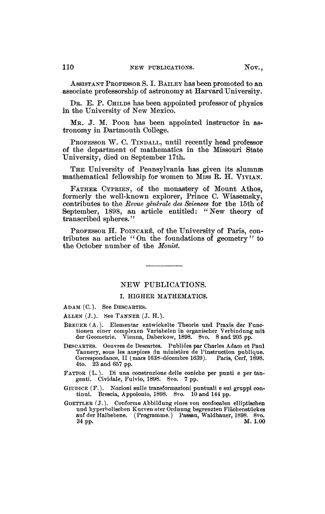ASSISTANT PROFESSOR S. I. BAILEY has been promoted to an associate professorship of astronomy at Harvard University.

DR. E. P. CHILDS has been appointed professor of physics in the University of New Mexico.

MR. J. M. POOR has been appointed instructor in astronomy in Dartmouth College.

PROFESSOR W. C. TINDALL, until recently head professor of the department of mathematics in the Missouri State University, died on September 17th.

THE University of Pennsylvania has given its alumners mathematical fellowship for women to Miss E. H. VIVIAN.

FATHER CYPRIEN, of the monastery of Mount Athos, formerly the well-known explorer, Prince C. Wiasemsky, contributes to the *Revue générale des Sciences* for the 15th of September, 1898, an article entitled: "New theory of transcribed spheres."

PROFESSOR H. POINCARÉ, of the University of Paris, contributes an article "On the foundations of geometry" to the October number of the *Monist* 

## NEW PUBLICATIONS.

## I, HIGHER MATHEMATICS.

ADAM (C.). See DESCARTES.

ALLEN (J.). See TANNER (J. H.).

- BREUER (A.). Elementar entwickelte Theorie und Praxis der Functionen einer complexen Variabelen in organischer Verbindung mit der Geometrie. Vienna, Daberkow, 1898. 8vo. 8 and 205 pp.
- DESCARTES. Oeuvres de Descartes. Publiées par Charles Adam et Paul Tannery, sous les auspices du ministère de l'instruction publique. Correspondance, II (mars 1638-décembre 1639). 4to. 23 and 657 pp.
- FATTOR (L. ). Di una construzione delle coniche per punti e per tangenti. Cividale, Fulvio, 1898. 8vo. 7 pp.
- GIUDICE (F.). Nozioni sulle transformazioni puntuali e sui gruppi continui. Brescia, Appolonio, 1898. 8vo. 10 and 144 pp.
- GOETTLER (J. ). Conforme Abbildung eines von confocalen elliptischen und hyperbolischen Kurven nter Ordnung begrenzten Flächenstückes auf der Halbebene. (Programme.) Passau, Waldbauer, 1898. 8vo.  $34 \text{ pp.}$  M.  $1.00$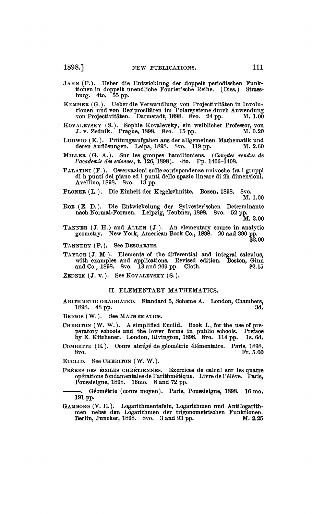- JAHN (F.). Ueber die Entwicklung der doppelt periodischen Funktionen in doppelt unendliche Fourier'sche Reihe. (Diss.) Strassburg. 4to. 55 pp.
- KEMMER (G.). Ueber die Verwandlung von Projectivitâten in Involu-tionen und von Reciprocitâten im Polarsysteme durch Anwendung von Projectivitäten. Darmstadt, 1898. 8vo. 24 pp. M. 1.00
- KOVALEVSKY (S.). Sopbie Kovalevsky, ein weiblicher Professor, von J. v. Zednik. Prague, 1898. 8vo. 15 pp. M. 0.20
- LUDWIG (K.). Prüfungsaufgaben aus der allgemeinen Matbematik und deren Auflösungen. Leipa, 1898. 8vo. 119 pp.
- MILLER (G. A.). Sur les groupes bamiltoniens. *(Comptes rendus de Vacademie des sciences,* t. 126, 1898). 4to. Pp. 1406-1408.
- PALATINI (F.). Osservazioni sulle corrispondenze univoche fra i gruppi di b punti del piano ed i punti dello spazio lineare di 2b dimensioni. Avellino, 1898. 8vo. 13 pp.
- PLONER (L.). Die Einheit der Kegelschnitte. Bozen, 1898. 8vo.

M. 1.00

ROE (E. D.). Die Entwickelung der Sylvester'schen Determinante nach Normal-Formen. Leipzig, Teubner, 1898. 8vo. 52 pp.

M. 2.00

- TANNER  $(J. H.)$  and ALLEN  $(J.)$ . An elementary course in analytic geometry. New York, American Book Co., 1898. 20 and 390 pp. \$2.00
- TANNERY (P.). See DESCARTES.
- TAYLOR (J. M.). Elements of tbe differential and integral calculus, with examples and applications. Revised edition. Boston, Ginn and Co., 1898. 8vo. 13 and 269 pp. Cloth.  $$2.15$
- ZEDNIK  $(J. v. )$ . See KOVALEVSKY  $(S. )$ .

## II. ELEMENTARY MATHEMATICS.

- ARITHMETIC GRADUATED. Standard 5, Scheme A. London, Chambers, 1898. 48 pp.
- BRIGGS (W.). See MATHEMATICS.
- CHERITON (W. W.). A simplified Euclid. Book I., for tbe use of preparatory schools and tbe lower forms in public schools. Preface by E. Kitchener. London, Rivington, 1898. 8vo. 114 pp. Is. 6d.
- COMBETTE (E.). Cours abrégé de géométrie élémentaire. Paris, 1898. 8vo. Fr. 5.00

EUCLID. See CHERITON ( W. W. ).

FRÈRES DES ÉCOLES CHRÉTIENNES. Exercices de calcul sur les quatre opérations fondamentales de l'arithmétique. Livre de l'élève. Paris, Poussielgue, 1898. 16mo. 8 and 72 pp.

. Géométrie (cours moyen). Paris, Poussielgue, 1898. 16 mo. **191** pp.

GAMBORG (V. E.). Logarithmentafeln, Logaritbmen und Antilogarith-men nebst den Logaritbmen der trigonometrischen Funktionen. Berlin, Juncker, 1898. 8vo. 3 and 93 pp. M. 2.25